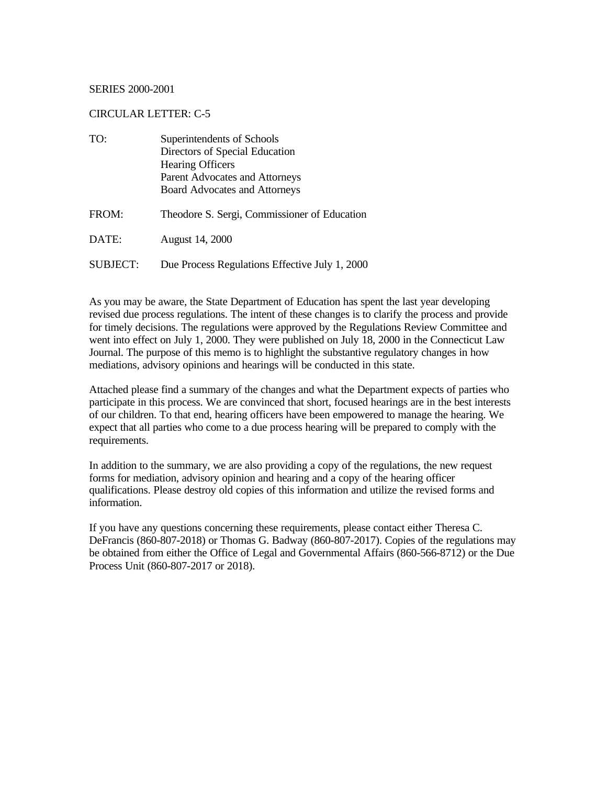#### SERIES 2000-2001

#### CIRCULAR LETTER: C-5

| TO:             | Superintendents of Schools<br>Directors of Special Education<br><b>Hearing Officers</b><br>Parent Advocates and Attorneys |  |
|-----------------|---------------------------------------------------------------------------------------------------------------------------|--|
| FROM:           | <b>Board Advocates and Attorneys</b><br>Theodore S. Sergi, Commissioner of Education                                      |  |
| DATE:           | <b>August 14, 2000</b>                                                                                                    |  |
| <b>SUBJECT:</b> | Due Process Regulations Effective July 1, 2000                                                                            |  |

As you may be aware, the State Department of Education has spent the last year developing revised due process regulations. The intent of these changes is to clarify the process and provide for timely decisions. The regulations were approved by the Regulations Review Committee and went into effect on July 1, 2000. They were published on July 18, 2000 in the Connecticut Law Journal. The purpose of this memo is to highlight the substantive regulatory changes in how mediations, advisory opinions and hearings will be conducted in this state.

Attached please find a summary of the changes and what the Department expects of parties who participate in this process. We are convinced that short, focused hearings are in the best interests of our children. To that end, hearing officers have been empowered to manage the hearing. We expect that all parties who come to a due process hearing will be prepared to comply with the requirements.

In addition to the summary, we are also providing a copy of the regulations, the new request forms for mediation, advisory opinion and hearing and a copy of the hearing officer qualifications. Please destroy old copies of this information and utilize the revised forms and information.

If you have any questions concerning these requirements, please contact either Theresa C. DeFrancis (860-807-2018) or Thomas G. Badway (860-807-2017). Copies of the regulations may be obtained from either the Office of Legal and Governmental Affairs (860-566-8712) or the Due Process Unit (860-807-2017 or 2018).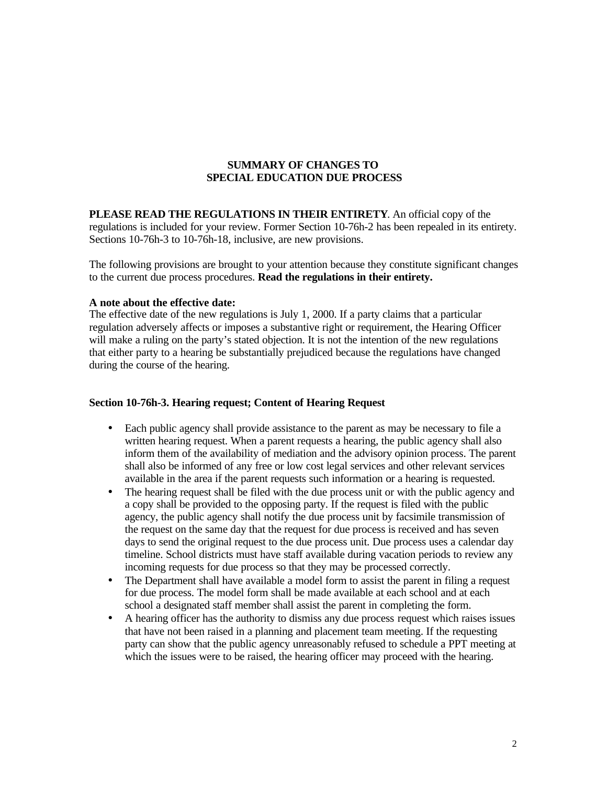## **SUMMARY OF CHANGES TO SPECIAL EDUCATION DUE PROCESS**

**PLEASE READ THE REGULATIONS IN THEIR ENTIRETY**. An official copy of the regulations is included for your review. Former Section 10-76h-2 has been repealed in its entirety. Sections 10-76h-3 to 10-76h-18, inclusive, are new provisions.

The following provisions are brought to your attention because they constitute significant changes to the current due process procedures. **Read the regulations in their entirety.** 

#### **A note about the effective date:**

The effective date of the new regulations is July 1, 2000. If a party claims that a particular regulation adversely affects or imposes a substantive right or requirement, the Hearing Officer will make a ruling on the party's stated objection. It is not the intention of the new regulations that either party to a hearing be substantially prejudiced because the regulations have changed during the course of the hearing.

#### **Section 10-76h-3. Hearing request; Content of Hearing Request**

- Each public agency shall provide assistance to the parent as may be necessary to file a written hearing request. When a parent requests a hearing, the public agency shall also inform them of the availability of mediation and the advisory opinion process. The parent shall also be informed of any free or low cost legal services and other relevant services available in the area if the parent requests such information or a hearing is requested.
- The hearing request shall be filed with the due process unit or with the public agency and a copy shall be provided to the opposing party. If the request is filed with the public agency, the public agency shall notify the due process unit by facsimile transmission of the request on the same day that the request for due process is received and has seven days to send the original request to the due process unit. Due process uses a calendar day timeline. School districts must have staff available during vacation periods to review any incoming requests for due process so that they may be processed correctly.
- The Department shall have available a model form to assist the parent in filing a request for due process. The model form shall be made available at each school and at each school a designated staff member shall assist the parent in completing the form.
- A hearing officer has the authority to dismiss any due process request which raises issues that have not been raised in a planning and placement team meeting. If the requesting party can show that the public agency unreasonably refused to schedule a PPT meeting at which the issues were to be raised, the hearing officer may proceed with the hearing.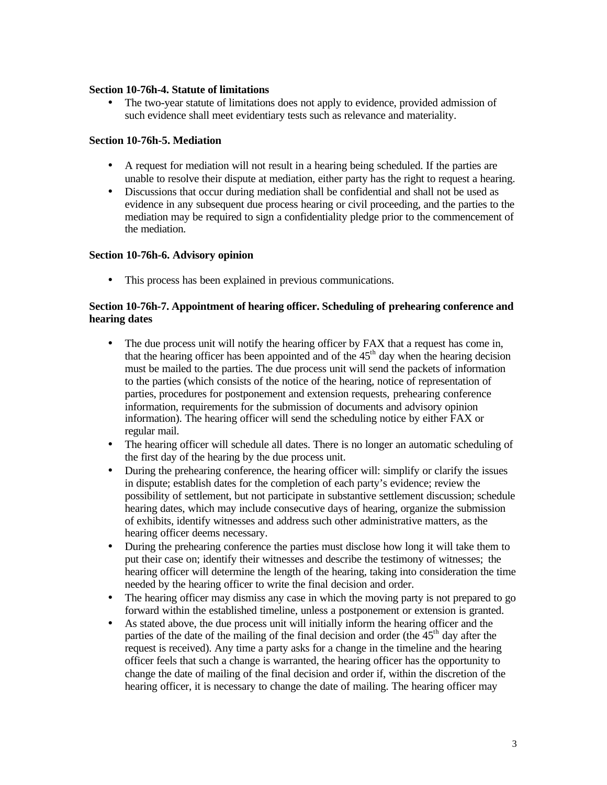### **Section 10-76h-4. Statute of limitations**

• The two-year statute of limitations does not apply to evidence, provided admission of such evidence shall meet evidentiary tests such as relevance and materiality.

## **Section 10-76h-5. Mediation**

- A request for mediation will not result in a hearing being scheduled. If the parties are unable to resolve their dispute at mediation, either party has the right to request a hearing.
- Discussions that occur during mediation shall be confidential and shall not be used as evidence in any subsequent due process hearing or civil proceeding, and the parties to the mediation may be required to sign a confidentiality pledge prior to the commencement of the mediation.

## **Section 10-76h-6. Advisory opinion**

• This process has been explained in previous communications.

## **Section 10-76h-7. Appointment of hearing officer. Scheduling of prehearing conference and hearing dates**

- The due process unit will notify the hearing officer by FAX that a request has come in, that the hearing officer has been appointed and of the  $45<sup>th</sup>$  day when the hearing decision must be mailed to the parties. The due process unit will send the packets of information to the parties (which consists of the notice of the hearing, notice of representation of parties, procedures for postponement and extension requests, prehearing conference information, requirements for the submission of documents and advisory opinion information). The hearing officer will send the scheduling notice by either FAX or regular mail.
- The hearing officer will schedule all dates. There is no longer an automatic scheduling of the first day of the hearing by the due process unit.
- During the prehearing conference, the hearing officer will: simplify or clarify the issues in dispute; establish dates for the completion of each party's evidence; review the possibility of settlement, but not participate in substantive settlement discussion; schedule hearing dates, which may include consecutive days of hearing, organize the submission of exhibits, identify witnesses and address such other administrative matters, as the hearing officer deems necessary.
- During the prehearing conference the parties must disclose how long it will take them to put their case on; identify their witnesses and describe the testimony of witnesses; the hearing officer will determine the length of the hearing, taking into consideration the time needed by the hearing officer to write the final decision and order.
- The hearing officer may dismiss any case in which the moving party is not prepared to go forward within the established timeline, unless a postponement or extension is granted.
- As stated above, the due process unit will initially inform the hearing officer and the parties of the date of the mailing of the final decision and order (the  $45<sup>th</sup>$  day after the request is received). Any time a party asks for a change in the timeline and the hearing officer feels that such a change is warranted, the hearing officer has the opportunity to change the date of mailing of the final decision and order if, within the discretion of the hearing officer, it is necessary to change the date of mailing. The hearing officer may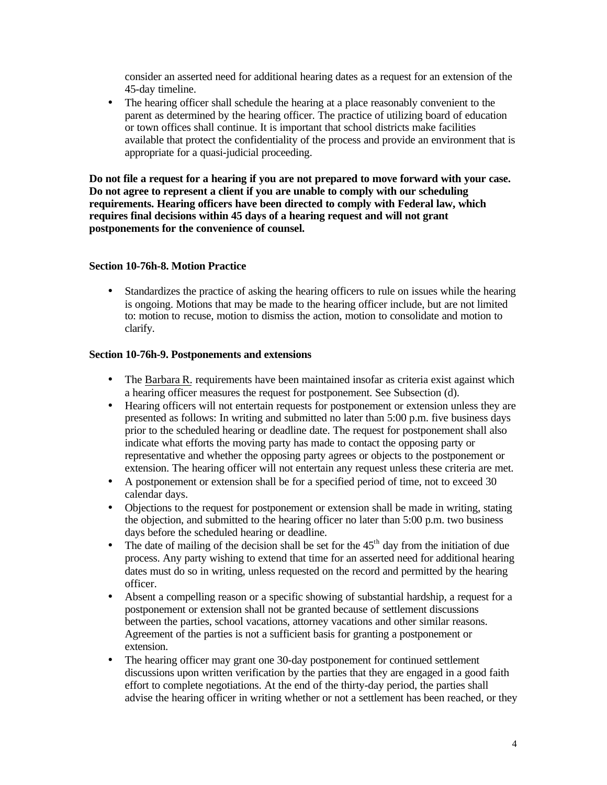consider an asserted need for additional hearing dates as a request for an extension of the 45-day timeline.

• The hearing officer shall schedule the hearing at a place reasonably convenient to the parent as determined by the hearing officer. The practice of utilizing board of education or town offices shall continue. It is important that school districts make facilities available that protect the confidentiality of the process and provide an environment that is appropriate for a quasi-judicial proceeding.

**Do not file a request for a hearing if you are not prepared to move forward with your case. Do not agree to represent a client if you are unable to comply with our scheduling requirements. Hearing officers have been directed to comply with Federal law, which requires final decisions within 45 days of a hearing request and will not grant postponements for the convenience of counsel.** 

### **Section 10-76h-8. Motion Practice**

• Standardizes the practice of asking the hearing officers to rule on issues while the hearing is ongoing. Motions that may be made to the hearing officer include, but are not limited to: motion to recuse, motion to dismiss the action, motion to consolidate and motion to clarify.

#### **Section 10-76h-9. Postponements and extensions**

- The Barbara R. requirements have been maintained insofar as criteria exist against which a hearing officer measures the request for postponement. See Subsection (d).
- Hearing officers will not entertain requests for postponement or extension unless they are presented as follows: In writing and submitted no later than 5:00 p.m. five business days prior to the scheduled hearing or deadline date. The request for postponement shall also indicate what efforts the moving party has made to contact the opposing party or representative and whether the opposing party agrees or objects to the postponement or extension. The hearing officer will not entertain any request unless these criteria are met.
- A postponement or extension shall be for a specified period of time, not to exceed 30 calendar days.
- Objections to the request for postponement or extension shall be made in writing, stating the objection, and submitted to the hearing officer no later than 5:00 p.m. two business days before the scheduled hearing or deadline.
- The date of mailing of the decision shall be set for the  $45<sup>th</sup>$  day from the initiation of due process. Any party wishing to extend that time for an asserted need for additional hearing dates must do so in writing, unless requested on the record and permitted by the hearing officer.
- Absent a compelling reason or a specific showing of substantial hardship, a request for a postponement or extension shall not be granted because of settlement discussions between the parties, school vacations, attorney vacations and other similar reasons. Agreement of the parties is not a sufficient basis for granting a postponement or extension.
- The hearing officer may grant one 30-day postponement for continued settlement discussions upon written verification by the parties that they are engaged in a good faith effort to complete negotiations. At the end of the thirty-day period, the parties shall advise the hearing officer in writing whether or not a settlement has been reached, or they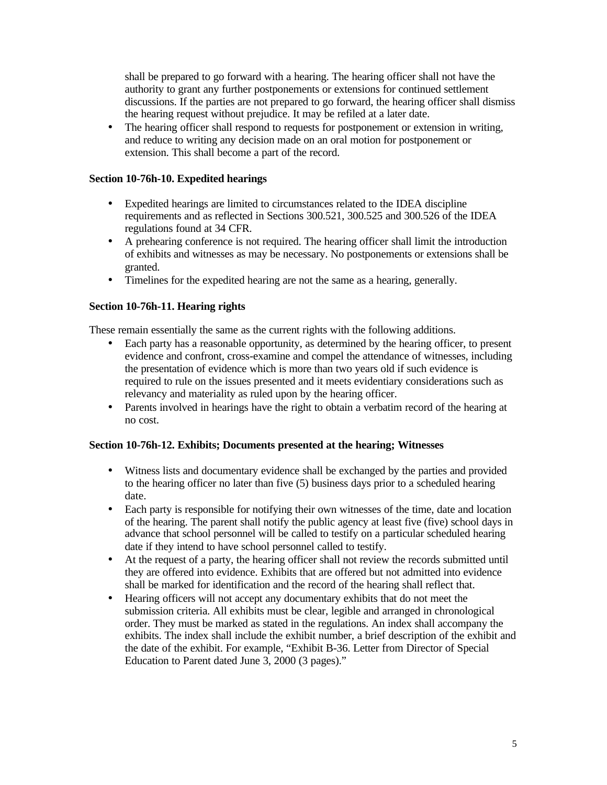shall be prepared to go forward with a hearing. The hearing officer shall not have the authority to grant any further postponements or extensions for continued settlement discussions. If the parties are not prepared to go forward, the hearing officer shall dismiss the hearing request without prejudice. It may be refiled at a later date.

• The hearing officer shall respond to requests for postponement or extension in writing, and reduce to writing any decision made on an oral motion for postponement or extension. This shall become a part of the record.

### **Section 10-76h-10. Expedited hearings**

- Expedited hearings are limited to circumstances related to the IDEA discipline requirements and as reflected in Sections 300.521, 300.525 and 300.526 of the IDEA regulations found at 34 CFR.
- A prehearing conference is not required. The hearing officer shall limit the introduction of exhibits and witnesses as may be necessary. No postponements or extensions shall be granted.
- Timelines for the expedited hearing are not the same as a hearing, generally.

## **Section 10-76h-11. Hearing rights**

These remain essentially the same as the current rights with the following additions.

- Each party has a reasonable opportunity, as determined by the hearing officer, to present evidence and confront, cross-examine and compel the attendance of witnesses, including the presentation of evidence which is more than two years old if such evidence is required to rule on the issues presented and it meets evidentiary considerations such as relevancy and materiality as ruled upon by the hearing officer.
- Parents involved in hearings have the right to obtain a verbatim record of the hearing at no cost.

### **Section 10-76h-12. Exhibits; Documents presented at the hearing; Witnesses**

- Witness lists and documentary evidence shall be exchanged by the parties and provided to the hearing officer no later than five (5) business days prior to a scheduled hearing date.
- Each party is responsible for notifying their own witnesses of the time, date and location of the hearing. The parent shall notify the public agency at least five (five) school days in advance that school personnel will be called to testify on a particular scheduled hearing date if they intend to have school personnel called to testify.
- At the request of a party, the hearing officer shall not review the records submitted until they are offered into evidence. Exhibits that are offered but not admitted into evidence shall be marked for identification and the record of the hearing shall reflect that.
- Hearing officers will not accept any documentary exhibits that do not meet the submission criteria. All exhibits must be clear, legible and arranged in chronological order. They must be marked as stated in the regulations. An index shall accompany the exhibits. The index shall include the exhibit number, a brief description of the exhibit and the date of the exhibit. For example, "Exhibit B-36. Letter from Director of Special Education to Parent dated June 3, 2000 (3 pages)."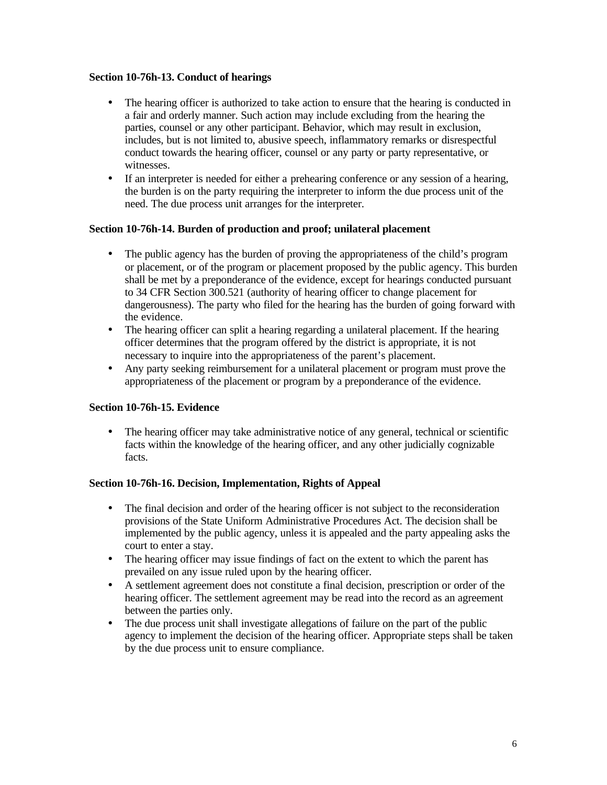### **Section 10-76h-13. Conduct of hearings**

- The hearing officer is authorized to take action to ensure that the hearing is conducted in a fair and orderly manner. Such action may include excluding from the hearing the parties, counsel or any other participant. Behavior, which may result in exclusion, includes, but is not limited to, abusive speech, inflammatory remarks or disrespectful conduct towards the hearing officer, counsel or any party or party representative, or witnesses.
- If an interpreter is needed for either a prehearing conference or any session of a hearing, the burden is on the party requiring the interpreter to inform the due process unit of the need. The due process unit arranges for the interpreter.

## **Section 10-76h-14. Burden of production and proof; unilateral placement**

- The public agency has the burden of proving the appropriateness of the child's program or placement, or of the program or placement proposed by the public agency. This burden shall be met by a preponderance of the evidence, except for hearings conducted pursuant to 34 CFR Section 300.521 (authority of hearing officer to change placement for dangerousness). The party who filed for the hearing has the burden of going forward with the evidence.
- The hearing officer can split a hearing regarding a unilateral placement. If the hearing officer determines that the program offered by the district is appropriate, it is not necessary to inquire into the appropriateness of the parent's placement.
- Any party seeking reimbursement for a unilateral placement or program must prove the appropriateness of the placement or program by a preponderance of the evidence.

# **Section 10-76h-15. Evidence**

• The hearing officer may take administrative notice of any general, technical or scientific facts within the knowledge of the hearing officer, and any other judicially cognizable facts.

### **Section 10-76h-16. Decision, Implementation, Rights of Appeal**

- The final decision and order of the hearing officer is not subject to the reconsideration provisions of the State Uniform Administrative Procedures Act. The decision shall be implemented by the public agency, unless it is appealed and the party appealing asks the court to enter a stay.
- The hearing officer may issue findings of fact on the extent to which the parent has prevailed on any issue ruled upon by the hearing officer.
- A settlement agreement does not constitute a final decision, prescription or order of the hearing officer. The settlement agreement may be read into the record as an agreement between the parties only.
- The due process unit shall investigate allegations of failure on the part of the public agency to implement the decision of the hearing officer. Appropriate steps shall be taken by the due process unit to ensure compliance.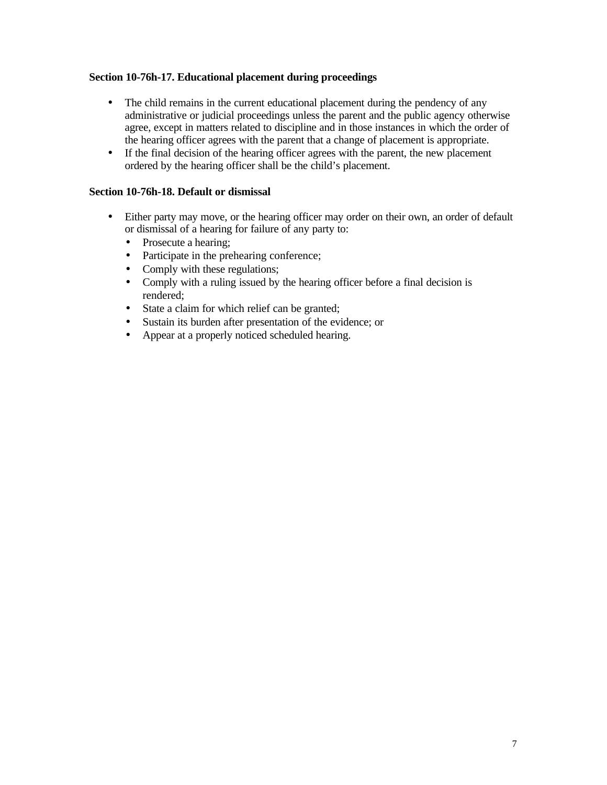## **Section 10-76h-17. Educational placement during proceedings**

- The child remains in the current educational placement during the pendency of any administrative or judicial proceedings unless the parent and the public agency otherwise agree, except in matters related to discipline and in those instances in which the order of the hearing officer agrees with the parent that a change of placement is appropriate.
- If the final decision of the hearing officer agrees with the parent, the new placement ordered by the hearing officer shall be the child's placement.

### **Section 10-76h-18. Default or dismissal**

- Either party may move, or the hearing officer may order on their own, an order of default or dismissal of a hearing for failure of any party to:
	- Prosecute a hearing;
	- Participate in the prehearing conference;
	- Comply with these regulations;
	- Comply with a ruling issued by the hearing officer before a final decision is rendered;
	- State a claim for which relief can be granted;
	- Sustain its burden after presentation of the evidence; or
	- Appear at a properly noticed scheduled hearing.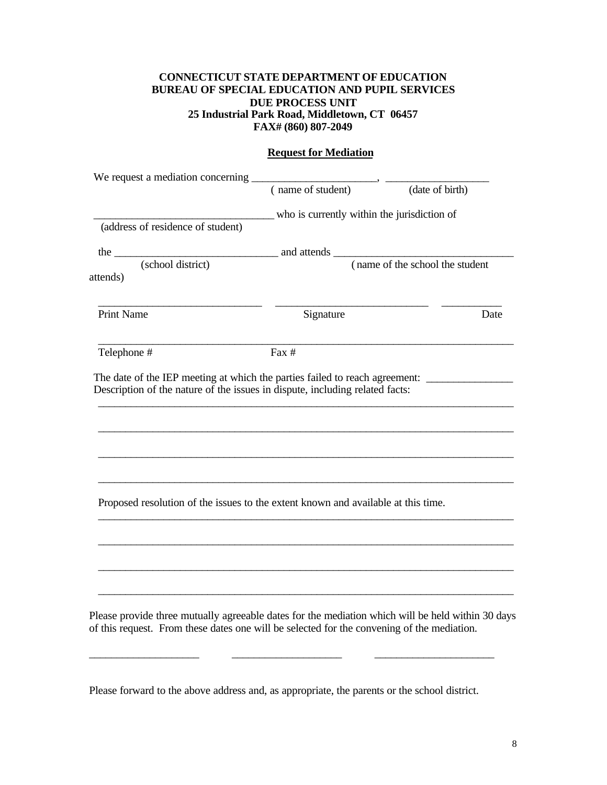## **CONNECTICUT STATE DEPARTMENT OF EDUCATION BUREAU OF SPECIAL EDUCATION AND PUPIL SERVICES DUE PROCESS UNIT 25 Industrial Park Road, Middletown, CT 06457 FAX# (860) 807-2049**

#### **Request for Mediation**

|                                   | (name of student)                                                                                 | (date of birth)                  |
|-----------------------------------|---------------------------------------------------------------------------------------------------|----------------------------------|
|                                   | who is currently within the jurisdiction of                                                       |                                  |
| (address of residence of student) |                                                                                                   |                                  |
| the $\_\_$                        |                                                                                                   |                                  |
| (school district)<br>attends)     |                                                                                                   | (name of the school the student) |
|                                   |                                                                                                   |                                  |
| <b>Print Name</b>                 | Signature                                                                                         | Date                             |
| Telephone #                       | Fax #                                                                                             |                                  |
|                                   |                                                                                                   |                                  |
|                                   |                                                                                                   |                                  |
|                                   | The date of the IEP meeting at which the parties failed to reach agreement:                       |                                  |
|                                   | Description of the nature of the issues in dispute, including related facts:                      |                                  |
|                                   |                                                                                                   |                                  |
|                                   |                                                                                                   |                                  |
|                                   |                                                                                                   |                                  |
|                                   |                                                                                                   |                                  |
|                                   |                                                                                                   |                                  |
|                                   |                                                                                                   |                                  |
|                                   |                                                                                                   |                                  |
|                                   |                                                                                                   |                                  |
|                                   | Proposed resolution of the issues to the extent known and available at this time.                 |                                  |
|                                   |                                                                                                   |                                  |
|                                   |                                                                                                   |                                  |
|                                   |                                                                                                   |                                  |
|                                   |                                                                                                   |                                  |
|                                   |                                                                                                   |                                  |
|                                   |                                                                                                   |                                  |
|                                   |                                                                                                   |                                  |
|                                   |                                                                                                   |                                  |
|                                   |                                                                                                   |                                  |
|                                   | Please provide three mutually agreeable dates for the mediation which will be held within 30 days |                                  |
|                                   | of this request. From these dates one will be selected for the convening of the mediation.        |                                  |

Please forward to the above address and, as appropriate, the parents or the school district.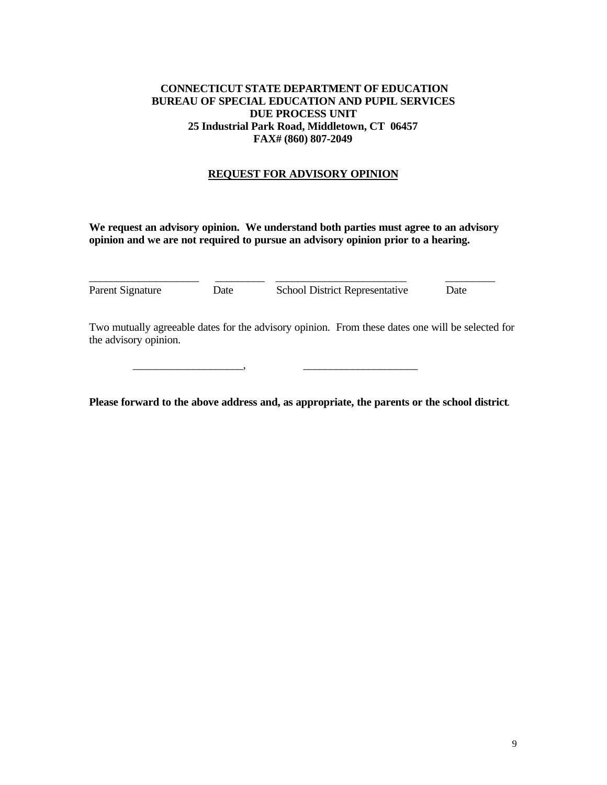## **CONNECTICUT STATE DEPARTMENT OF EDUCATION BUREAU OF SPECIAL EDUCATION AND PUPIL SERVICES DUE PROCESS UNIT 25 Industrial Park Road, Middletown, CT 06457 FAX# (860) 807-2049**

## **REQUEST FOR ADVISORY OPINION**

**We request an advisory opinion. We understand both parties must agree to an advisory opinion and we are not required to pursue an advisory opinion prior to a hearing.** 

| Parent Signature | Date | <b>School District Representative</b> | Date |
|------------------|------|---------------------------------------|------|

\_\_\_\_\_\_\_\_\_\_\_\_\_\_\_\_\_\_\_\_, \_\_\_\_\_\_\_\_\_\_\_\_\_\_\_\_\_\_\_\_\_

Two mutually agreeable dates for the advisory opinion. From these dates one will be selected for the advisory opinion.

**Please forward to the above address and, as appropriate, the parents or the school district**.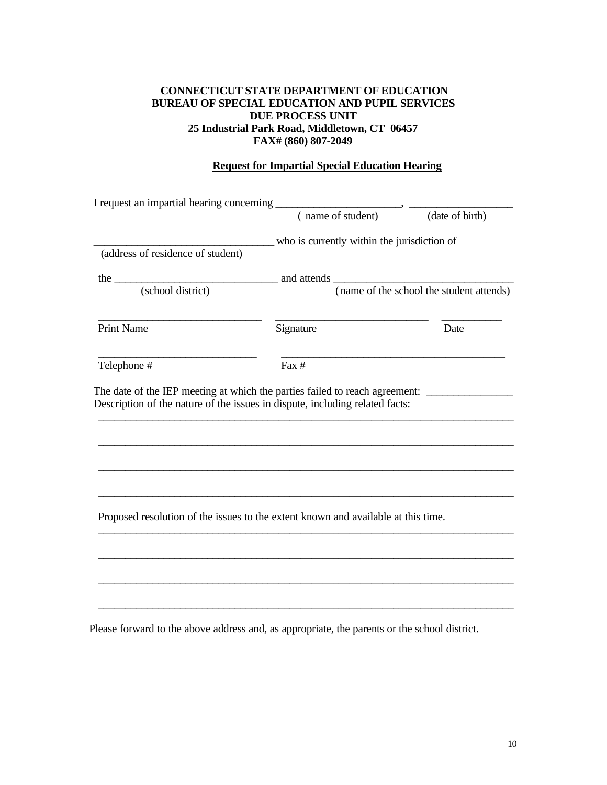## **CONNECTICUT STATE DEPARTMENT OF EDUCATION BUREAU OF SPECIAL EDUCATION AND PUPIL SERVICES DUE PROCESS UNIT 25 Industrial Park Road, Middletown, CT 06457 FAX# (860) 807-2049**

# **Request for Impartial Special Education Hearing**

|                                                                                   |                                                                                            | (date of birth) |  |
|-----------------------------------------------------------------------------------|--------------------------------------------------------------------------------------------|-----------------|--|
|                                                                                   | who is currently within the jurisdiction of                                                |                 |  |
| (address of residence of student)                                                 |                                                                                            |                 |  |
|                                                                                   |                                                                                            |                 |  |
|                                                                                   | the <u>contract (school district)</u> and attends (name of the school the student attends) |                 |  |
| <b>Print Name</b>                                                                 | Signature                                                                                  | Date            |  |
| Telephone #                                                                       | Fax #                                                                                      |                 |  |
|                                                                                   |                                                                                            |                 |  |
|                                                                                   |                                                                                            |                 |  |
| Proposed resolution of the issues to the extent known and available at this time. |                                                                                            |                 |  |
|                                                                                   |                                                                                            |                 |  |
|                                                                                   |                                                                                            |                 |  |
|                                                                                   |                                                                                            |                 |  |

Please forward to the above address and, as appropriate, the parents or the school district.

\_\_\_\_\_\_\_\_\_\_\_\_\_\_\_\_\_\_\_\_\_\_\_\_\_\_\_\_\_\_\_\_\_\_\_\_\_\_\_\_\_\_\_\_\_\_\_\_\_\_\_\_\_\_\_\_\_\_\_\_\_\_\_\_\_\_\_\_\_\_\_\_\_\_\_\_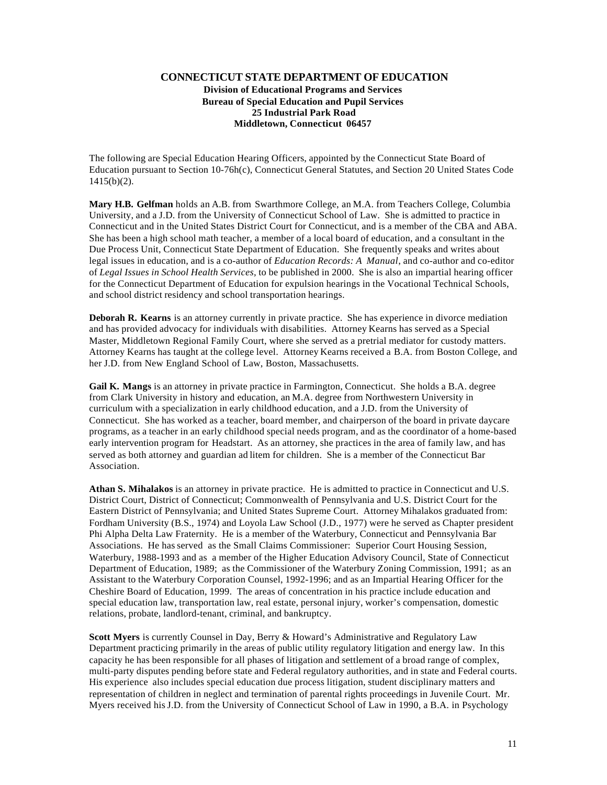#### **CONNECTICUT STATE DEPARTMENT OF EDUCATION Division of Educational Programs and Services Bureau of Special Education and Pupil Services 25 Industrial Park Road Middletown, Connecticut 06457**

The following are Special Education Hearing Officers, appointed by the Connecticut State Board of Education pursuant to Section 10-76h(c), Connecticut General Statutes, and Section 20 United States Code  $1415(b)(2)$ .

**Mary H.B. Gelfman** holds an A.B. from Swarthmore College, an M.A. from Teachers College, Columbia University, and a J.D. from the University of Connecticut School of Law. She is admitted to practice in Connecticut and in the United States District Court for Connecticut, and is a member of the CBA and ABA. She has been a high school math teacher, a member of a local board of education, and a consultant in the Due Process Unit, Connecticut State Department of Education. She frequently speaks and writes about legal issues in education, and is a co-author of *Education Records: A Manual*, and co-author and co-editor of *Legal Issues in School Health Services,* to be published in 2000. She is also an impartial hearing officer for the Connecticut Department of Education for expulsion hearings in the Vocational Technical Schools, and school district residency and school transportation hearings.

**Deborah R. Kearns** is an attorney currently in private practice. She has experience in divorce mediation and has provided advocacy for individuals with disabilities. Attorney Kearns has served as a Special Master, Middletown Regional Family Court, where she served as a pretrial mediator for custody matters. Attorney Kearns has taught at the college level. Attorney Kearns received a B.A. from Boston College, and her J.D. from New England School of Law, Boston, Massachusetts.

**Gail K. Mangs** is an attorney in private practice in Farmington, Connecticut. She holds a B.A. degree from Clark University in history and education, an M.A. degree from Northwestern University in curriculum with a specialization in early childhood education, and a J.D. from the University of Connecticut. She has worked as a teacher, board member, and chairperson of the board in private daycare programs, as a teacher in an early childhood special needs program, and as the coordinator of a home-based early intervention program for Headstart. As an attorney, she practices in the area of family law, and has served as both attorney and guardian ad litem for children. She is a member of the Connecticut Bar Association.

**Athan S. Mihalakos** is an attorney in private practice. He is admitted to practice in Connecticut and U.S. District Court, District of Connecticut; Commonwealth of Pennsylvania and U.S. District Court for the Eastern District of Pennsylvania; and United States Supreme Court. Attorney Mihalakos graduated from: Fordham University (B.S., 1974) and Loyola Law School (J.D., 1977) were he served as Chapter president Phi Alpha Delta Law Fraternity. He is a member of the Waterbury, Connecticut and Pennsylvania Bar Associations. He has served as the Small Claims Commissioner: Superior Court Housing Session, Waterbury, 1988-1993 and as a member of the Higher Education Advisory Council, State of Connecticut Department of Education, 1989; as the Commissioner of the Waterbury Zoning Commission, 1991; as an Assistant to the Waterbury Corporation Counsel, 1992-1996; and as an Impartial Hearing Officer for the Cheshire Board of Education, 1999. The areas of concentration in his practice include education and special education law, transportation law, real estate, personal injury, worker's compensation, domestic relations, probate, landlord-tenant, criminal, and bankruptcy.

**Scott Myers** is currently Counsel in Day, Berry & Howard's Administrative and Regulatory Law Department practicing primarily in the areas of public utility regulatory litigation and energy law. In this capacity he has been responsible for all phases of litigation and settlement of a broad range of complex, multi-party disputes pending before state and Federal regulatory authorities, and in state and Federal courts. His experience also includes special education due process litigation, student disciplinary matters and representation of children in neglect and termination of parental rights proceedings in Juvenile Court. Mr. Myers received his J.D. from the University of Connecticut School of Law in 1990, a B.A. in Psychology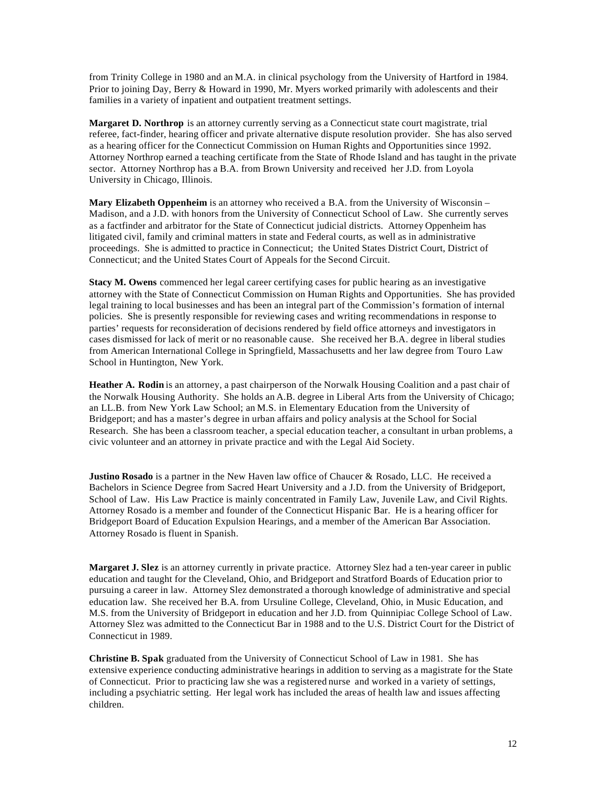from Trinity College in 1980 and an M.A. in clinical psychology from the University of Hartford in 1984. Prior to joining Day, Berry & Howard in 1990, Mr. Myers worked primarily with adolescents and their families in a variety of inpatient and outpatient treatment settings.

**Margaret D. Northrop** is an attorney currently serving as a Connecticut state court magistrate, trial referee, fact-finder, hearing officer and private alternative dispute resolution provider. She has also served as a hearing officer for the Connecticut Commission on Human Rights and Opportunities since 1992. Attorney Northrop earned a teaching certificate from the State of Rhode Island and has taught in the private sector. Attorney Northrop has a B.A. from Brown University and received her J.D. from Loyola University in Chicago, Illinois.

**Mary Elizabeth Oppenheim** is an attorney who received a B.A. from the University of Wisconsin – Madison, and a J.D. with honors from the University of Connecticut School of Law. She currently serves as a factfinder and arbitrator for the State of Connecticut judicial districts. Attorney Oppenheim has litigated civil, family and criminal matters in state and Federal courts, as well as in administrative proceedings. She is admitted to practice in Connecticut; the United States District Court, District of Connecticut; and the United States Court of Appeals for the Second Circuit.

**Stacy M. Owens** commenced her legal career certifying cases for public hearing as an investigative attorney with the State of Connecticut Commission on Human Rights and Opportunities. She has provided legal training to local businesses and has been an integral part of the Commission's formation of internal policies. She is presently responsible for reviewing cases and writing recommendations in response to parties' requests for reconsideration of decisions rendered by field office attorneys and investigators in cases dismissed for lack of merit or no reasonable cause. She received her B.A. degree in liberal studies from American International College in Springfield, Massachusetts and her law degree from Touro Law School in Huntington, New York.

**Heather A. Rodin** is an attorney, a past chairperson of the Norwalk Housing Coalition and a past chair of the Norwalk Housing Authority. She holds an A.B. degree in Liberal Arts from the University of Chicago; an LL.B. from New York Law School; an M.S. in Elementary Education from the University of Bridgeport; and has a master's degree in urban affairs and policy analysis at the School for Social Research. She has been a classroom teacher, a special education teacher, a consultant in urban problems, a civic volunteer and an attorney in private practice and with the Legal Aid Society.

**Justino Rosado** is a partner in the New Haven law office of Chaucer & Rosado, LLC. He received a Bachelors in Science Degree from Sacred Heart University and a J.D. from the University of Bridgeport, School of Law. His Law Practice is mainly concentrated in Family Law, Juvenile Law, and Civil Rights. Attorney Rosado is a member and founder of the Connecticut Hispanic Bar. He is a hearing officer for Bridgeport Board of Education Expulsion Hearings, and a member of the American Bar Association. Attorney Rosado is fluent in Spanish.

**Margaret J. Slez** is an attorney currently in private practice. Attorney Slez had a ten-year career in public education and taught for the Cleveland, Ohio, and Bridgeport and Stratford Boards of Education prior to pursuing a career in law. Attorney Slez demonstrated a thorough knowledge of administrative and special education law. She received her B.A. from Ursuline College, Cleveland, Ohio, in Music Education, and M.S. from the University of Bridgeport in education and her J.D. from Quinnipiac College School of Law. Attorney Slez was admitted to the Connecticut Bar in 1988 and to the U.S. District Court for the District of Connecticut in 1989.

**Christine B. Spak** graduated from the University of Connecticut School of Law in 1981. She has extensive experience conducting administrative hearings in addition to serving as a magistrate for the State of Connecticut. Prior to practicing law she was a registered nurse and worked in a variety of settings, including a psychiatric setting. Her legal work has included the areas of health law and issues affecting children.